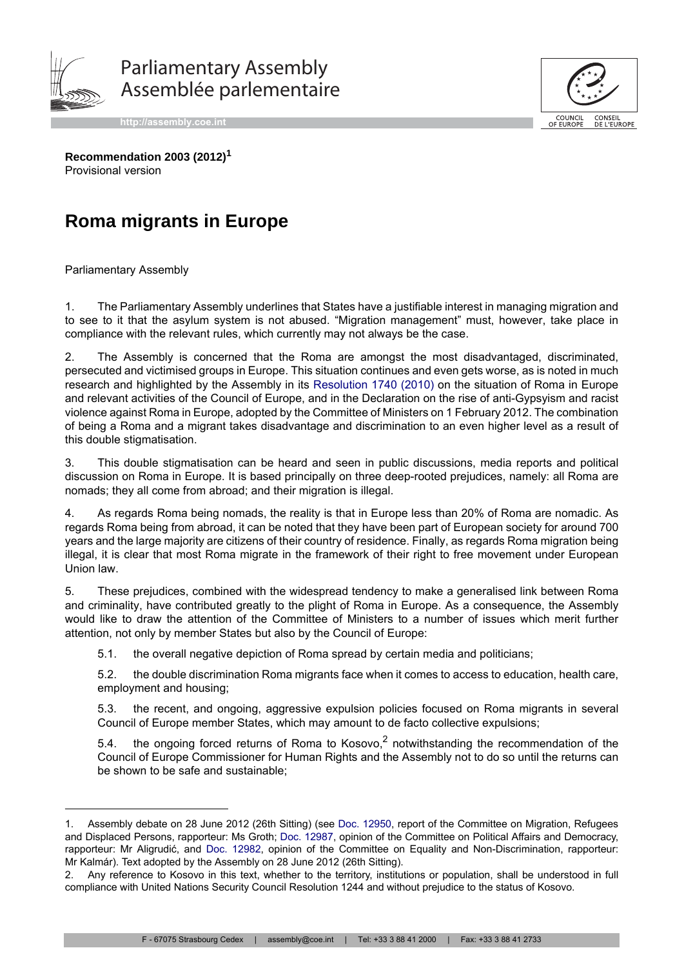

Parliamentary Assembly Assemblée parlementaire

**http://assembly.coe.int**



**Recommendation 2003 (2012)<sup>1</sup>** Provisional version

## **Roma migrants in Europe**

Parliamentary Assembly

1. The Parliamentary Assembly underlines that States have a justifiable interest in managing migration and to see to it that the asylum system is not abused. "Migration management" must, however, take place in compliance with the relevant rules, which currently may not always be the case.

2. The Assembly is concerned that the Roma are amongst the most disadvantaged, discriminated, persecuted and victimised groups in Europe. This situation continues and even gets worse, as is noted in much research and highlighted by the Assembly in its Resolution 1740 (2010) on the situation of Roma in Europe and relevant activities of the Council of Europe, and in the Declaration on the rise of anti-Gypsyism and racist violence against Roma in Europe, adopted by the Committee of Ministers on 1 February 2012. The combination of being a Roma and a migrant takes disadvantage and discrimination to an even higher level as a result of this double stigmatisation.

3. This double stigmatisation can be heard and seen in public discussions, media reports and political discussion on Roma in Europe. It is based principally on three deep-rooted prejudices, namely: all Roma are nomads; they all come from abroad; and their migration is illegal.

4. As regards Roma being nomads, the reality is that in Europe less than 20% of Roma are nomadic. As regards Roma being from abroad, it can be noted that they have been part of European society for around 700 years and the large majority are citizens of their country of residence. Finally, as regards Roma migration being illegal, it is clear that most Roma migrate in the framework of their right to free movement under European Union law.

5. These prejudices, combined with the widespread tendency to make a generalised link between Roma and criminality, have contributed greatly to the plight of Roma in Europe. As a consequence, the Assembly would like to draw the attention of the Committee of Ministers to a number of issues which merit further attention, not only by member States but also by the Council of Europe:

5.1. the overall negative depiction of Roma spread by certain media and politicians;

5.2. the double discrimination Roma migrants face when it comes to access to education, health care, employment and housing;

5.3. the recent, and ongoing, aggressive expulsion policies focused on Roma migrants in several Council of Europe member States, which may amount to de facto collective expulsions;

5.4. the ongoing forced returns of Roma to Kosovo,<sup>2</sup> notwithstanding the recommendation of the Council of Europe Commissioner for Human Rights and the Assembly not to do so until the returns can be shown to be safe and sustainable;

<sup>1.</sup> Assembly debate on 28 June 2012 (26th Sitting) (see Doc. 12950, report of the Committee on Migration, Refugees and Displaced Persons, rapporteur: Ms Groth; Doc. 12987, opinion of the Committee on Political Affairs and Democracy, rapporteur: Mr Aligrudić, and Doc. 12982, opinion of the Committee on Equality and Non-Discrimination, rapporteur: Mr Kalmár). Text adopted by the Assembly on 28 June 2012 (26th Sitting).

<sup>2.</sup> Any reference to Kosovo in this text, whether to the territory, institutions or population, shall be understood in full compliance with United Nations Security Council Resolution 1244 and without prejudice to the status of Kosovo.